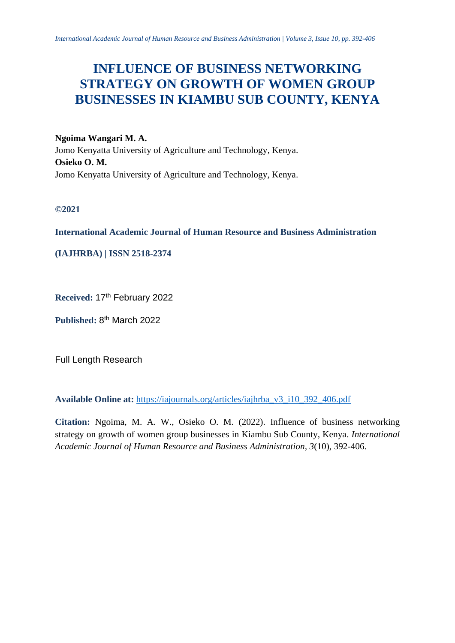# **INFLUENCE OF BUSINESS NETWORKING STRATEGY ON GROWTH OF WOMEN GROUP BUSINESSES IN KIAMBU SUB COUNTY, KENYA**

**Ngoima Wangari M. A.** Jomo Kenyatta University of Agriculture and Technology, Kenya. **Osieko O. M.** Jomo Kenyatta University of Agriculture and Technology, Kenya.

**©2021**

**International Academic Journal of Human Resource and Business Administration**

**(IAJHRBA) | ISSN 2518-2374**

Received: 17<sup>th</sup> February 2022

Published: 8<sup>th</sup> March 2022

Full Length Research

**Available Online at:** [https://iajournals.org/articles/iajhrba\\_v3\\_i10\\_392\\_406.pdf](https://iajournals.org/articles/iajhrba_v3_i10_392_406.pdf)

**Citation:** Ngoima, M. A. W., Osieko O. M. (2022). Influence of business networking strategy on growth of women group businesses in Kiambu Sub County, Kenya. *International Academic Journal of Human Resource and Business Administration, 3*(10), 392-406.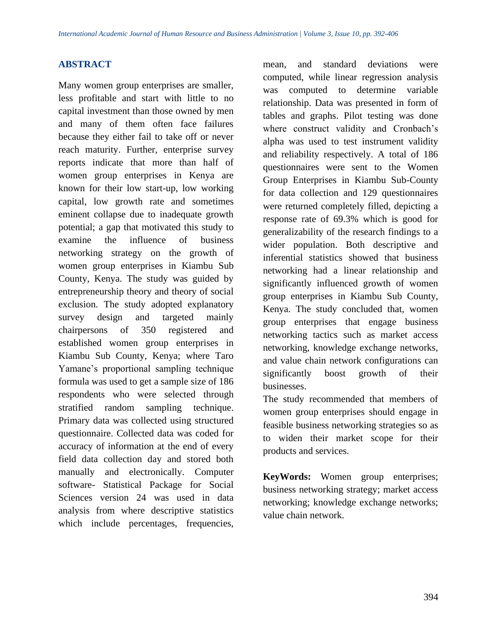# **ABSTRACT**

Many women group enterprises are smaller, less profitable and start with little to no capital investment than those owned by men and many of them often face failures because they either fail to take off or never reach maturity. Further, enterprise survey reports indicate that more than half of women group enterprises in Kenya are known for their low start-up, low working capital, low growth rate and sometimes eminent collapse due to inadequate growth potential; a gap that motivated this study to examine the influence of business networking strategy on the growth of women group enterprises in Kiambu Sub County, Kenya. The study was guided by entrepreneurship theory and theory of social exclusion. The study adopted explanatory survey design and targeted mainly chairpersons of 350 registered and established women group enterprises in Kiambu Sub County, Kenya; where Taro Yamane's proportional sampling technique formula was used to get a sample size of 186 respondents who were selected through stratified random sampling technique. Primary data was collected using structured questionnaire. Collected data was coded for accuracy of information at the end of every field data collection day and stored both manually and electronically. Computer software- Statistical Package for Social Sciences version 24 was used in data analysis from where descriptive statistics which include percentages, frequencies,

mean, and standard deviations were computed, while linear regression analysis was computed to determine variable relationship. Data was presented in form of tables and graphs. Pilot testing was done where construct validity and Cronbach's alpha was used to test instrument validity and reliability respectively. A total of 186 questionnaires were sent to the Women Group Enterprises in Kiambu Sub-County for data collection and 129 questionnaires were returned completely filled, depicting a response rate of 69.3% which is good for generalizability of the research findings to a wider population. Both descriptive and inferential statistics showed that business networking had a linear relationship and significantly influenced growth of women group enterprises in Kiambu Sub County, Kenya. The study concluded that, women group enterprises that engage business networking tactics such as market access networking, knowledge exchange networks, and value chain network configurations can significantly boost growth of their businesses.

The study recommended that members of women group enterprises should engage in feasible business networking strategies so as to widen their market scope for their products and services.

**KeyWords:** Women group enterprises; business networking strategy; market access networking; knowledge exchange networks; value chain network.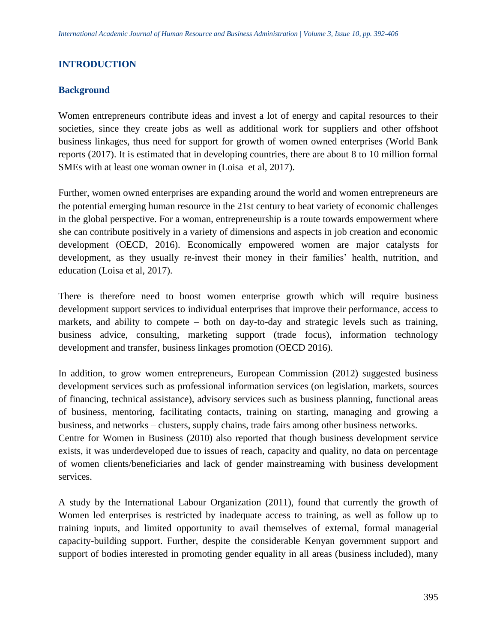# **INTRODUCTION**

# **Background**

Women entrepreneurs contribute ideas and invest a lot of energy and capital resources to their societies, since they create jobs as well as additional work for suppliers and other offshoot business linkages, thus need for support for growth of women owned enterprises (World Bank reports (2017). It is estimated that in developing countries, there are about 8 to 10 million formal SMEs with at least one woman owner in (Loisa et al, 2017).

Further, women owned enterprises are expanding around the world and women entrepreneurs are the potential emerging human resource in the 21st century to beat variety of economic challenges in the global perspective. For a woman, entrepreneurship is a route towards empowerment where she can contribute positively in a variety of dimensions and aspects in job creation and economic development (OECD, 2016). Economically empowered women are major catalysts for development, as they usually re-invest their money in their families' health, nutrition, and education (Loisa et al, 2017).

There is therefore need to boost women enterprise growth which will require business development support services to individual enterprises that improve their performance, access to markets, and ability to compete – both on day-to-day and strategic levels such as training, business advice, consulting, marketing support (trade focus), information technology development and transfer, business linkages promotion (OECD 2016).

In addition, to grow women entrepreneurs, European Commission (2012) suggested business development services such as professional information services (on legislation, markets, sources of financing, technical assistance), advisory services such as business planning, functional areas of business, mentoring, facilitating contacts, training on starting, managing and growing a business, and networks – clusters, supply chains, trade fairs among other business networks.

Centre for Women in Business (2010) also reported that though business development service exists, it was underdeveloped due to issues of reach, capacity and quality, no data on percentage of women clients/beneficiaries and lack of gender mainstreaming with business development services.

A study by the International Labour Organization (2011), found that currently the growth of Women led enterprises is restricted by inadequate access to training, as well as follow up to training inputs, and limited opportunity to avail themselves of external, formal managerial capacity-building support. Further, despite the considerable Kenyan government support and support of bodies interested in promoting gender equality in all areas (business included), many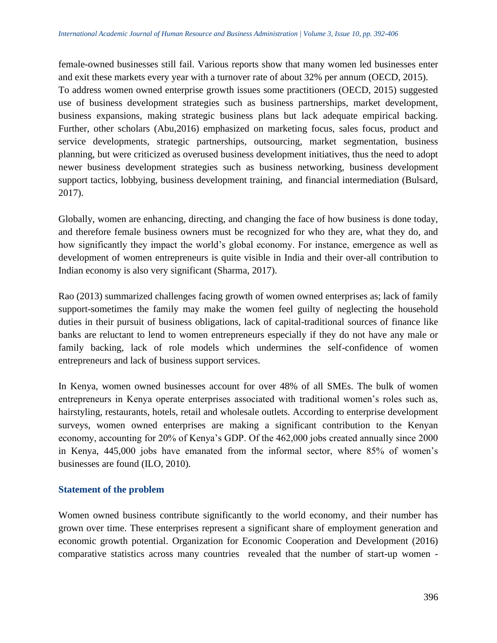female-owned businesses still fail. Various reports show that many women led businesses enter and exit these markets every year with a turnover rate of about 32% per annum (OECD, 2015). To address women owned enterprise growth issues some practitioners (OECD, 2015) suggested use of business development strategies such as business partnerships, market development, business expansions, making strategic business plans but lack adequate empirical backing. Further, other scholars (Abu,2016) emphasized on marketing focus, sales focus, product and service developments, strategic partnerships, outsourcing, market segmentation, business planning, but were criticized as overused business development initiatives, thus the need to adopt newer business development strategies such as business networking, business development support tactics, lobbying, business development training, and financial intermediation (Bulsard, 2017).

Globally, women are enhancing, directing, and changing the face of how business is done today, and therefore female business owners must be recognized for who they are, what they do, and how significantly they impact the world's global economy. For instance, emergence as well as development of women entrepreneurs is quite visible in India and their over-all contribution to Indian economy is also very significant (Sharma, 2017).

Rao (2013) summarized challenges facing growth of women owned enterprises as; lack of family support-sometimes the family may make the women feel guilty of neglecting the household duties in their pursuit of business obligations, lack of capital-traditional sources of finance like banks are reluctant to lend to women entrepreneurs especially if they do not have any male or family backing, lack of role models which undermines the self-confidence of women entrepreneurs and lack of business support services.

In Kenya, women owned businesses account for over 48% of all SMEs. The bulk of women entrepreneurs in Kenya operate enterprises associated with traditional women's roles such as, hairstyling, restaurants, hotels, retail and wholesale outlets. According to enterprise development surveys, women owned enterprises are making a significant contribution to the Kenyan economy, accounting for 20% of Kenya's GDP. Of the 462,000 jobs created annually since 2000 in Kenya, 445,000 jobs have emanated from the informal sector, where 85% of women's businesses are found (ILO, 2010).

# **Statement of the problem**

Women owned business contribute significantly to the world economy, and their number has grown over time. These enterprises represent a significant share of employment generation and economic growth potential. Organization for Economic Cooperation and Development (2016) comparative statistics across many countries revealed that the number of start-up women -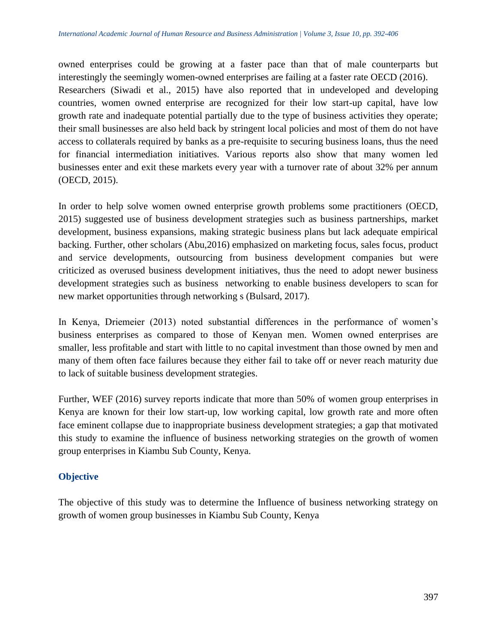owned enterprises could be growing at a faster pace than that of male counterparts but interestingly the seemingly women-owned enterprises are failing at a faster rate OECD (2016). Researchers (Siwadi et al., 2015) have also reported that in undeveloped and developing countries, women owned enterprise are recognized for their low start-up capital, have low growth rate and inadequate potential partially due to the type of business activities they operate; their small businesses are also held back by stringent local policies and most of them do not have access to collaterals required by banks as a pre-requisite to securing business loans, thus the need for financial intermediation initiatives. Various reports also show that many women led businesses enter and exit these markets every year with a turnover rate of about 32% per annum (OECD, 2015).

In order to help solve women owned enterprise growth problems some practitioners (OECD, 2015) suggested use of business development strategies such as business partnerships, market development, business expansions, making strategic business plans but lack adequate empirical backing. Further, other scholars (Abu,2016) emphasized on marketing focus, sales focus, product and service developments, outsourcing from business development companies but were criticized as overused business development initiatives, thus the need to adopt newer business development strategies such as business networking to enable business developers to scan for new market opportunities through networking s (Bulsard, 2017).

In Kenya, Driemeier (2013) noted substantial differences in the performance of women's business enterprises as compared to those of Kenyan men. Women owned enterprises are smaller, less profitable and start with little to no capital investment than those owned by men and many of them often face failures because they either fail to take off or never reach maturity due to lack of suitable business development strategies.

Further, WEF (2016) survey reports indicate that more than 50% of women group enterprises in Kenya are known for their low start-up, low working capital, low growth rate and more often face eminent collapse due to inappropriate business development strategies; a gap that motivated this study to examine the influence of business networking strategies on the growth of women group enterprises in Kiambu Sub County, Kenya.

# **Objective**

The objective of this study was to determine the Influence of business networking strategy on growth of women group businesses in Kiambu Sub County, Kenya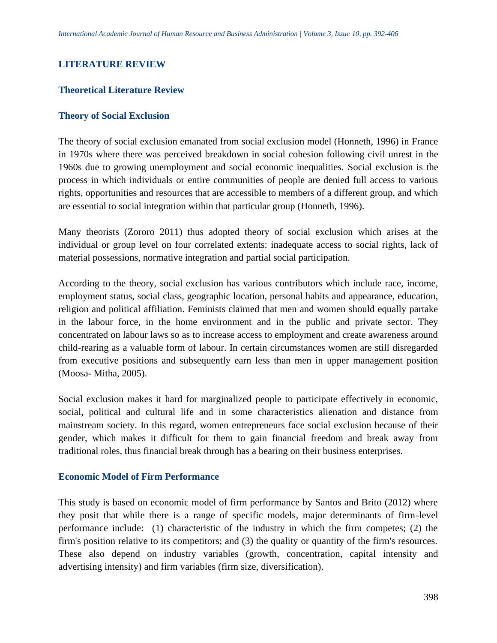# **LITERATURE REVIEW**

## **Theoretical Literature Review**

#### **Theory of Social Exclusion**

The theory of social exclusion emanated from social exclusion model (Honneth, 1996) in France in 1970s where there was perceived breakdown in social cohesion following civil unrest in the 1960s due to growing unemployment and social economic inequalities. Social exclusion is the process in which individuals or entire communities of people are denied full access to various rights, opportunities and resources that are accessible to members of a different group, and which are essential to social integration within that particular group (Honneth, 1996).

Many theorists (Zororo 2011) thus adopted theory of social exclusion which arises at the individual or group level on four correlated extents: inadequate access to social rights, lack of material possessions, normative integration and partial social participation.

According to the theory, social exclusion has various contributors which include race, income, employment status, social class, geographic location, personal habits and appearance, education, religion and political affiliation. Feminists claimed that men and women should equally partake in the labour force, in the home environment and in the public and private sector. They concentrated on labour laws so as to increase access to employment and create awareness around child-rearing as a valuable form of labour. In certain circumstances women are still disregarded from executive positions and subsequently earn less than men in upper management position (Moosa- Mitha, 2005).

Social exclusion makes it hard for marginalized people to participate effectively in economic, social, political and cultural life and in some characteristics alienation and distance from mainstream society. In this regard, women entrepreneurs face social exclusion because of their gender, which makes it difficult for them to gain financial freedom and break away from traditional roles, thus financial break through has a bearing on their business enterprises.

#### **Economic Model of Firm Performance**

This study is based on economic model of firm performance by Santos and Brito (2012) where they posit that while there is a range of specific models, major determinants of firm-level performance include: (1) characteristic of the industry in which the firm competes; (2) the firm's position relative to its competitors; and (3) the quality or quantity of the firm's resources. These also depend on industry variables (growth, concentration, capital intensity and advertising intensity) and firm variables (firm size, diversification).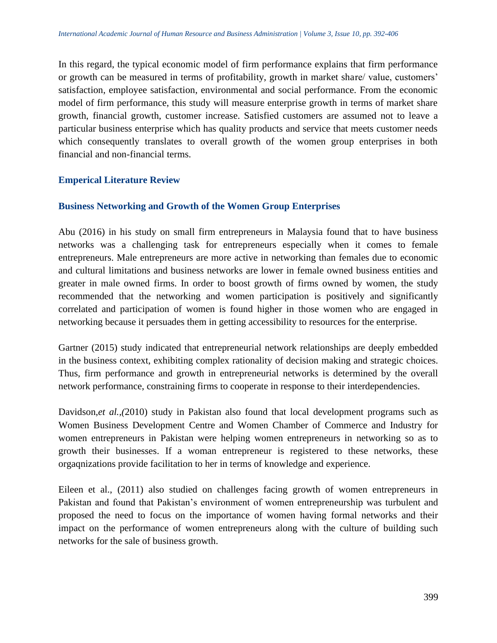In this regard, the typical economic model of firm performance explains that firm performance or growth can be measured in terms of profitability, growth in market share/ value, customers' satisfaction, employee satisfaction, environmental and social performance. From the economic model of firm performance, this study will measure enterprise growth in terms of market share growth, financial growth, customer increase. Satisfied customers are assumed not to leave a particular business enterprise which has quality products and service that meets customer needs which consequently translates to overall growth of the women group enterprises in both financial and non-financial terms.

# **Emperical Literature Review**

# **Business Networking and Growth of the Women Group Enterprises**

Abu (2016) in his study on small firm entrepreneurs in Malaysia found that to have business networks was a challenging task for entrepreneurs especially when it comes to female entrepreneurs. Male entrepreneurs are more active in networking than females due to economic and cultural limitations and business networks are lower in female owned business entities and greater in male owned firms. In order to boost growth of firms owned by women, the study recommended that the networking and women participation is positively and significantly correlated and participation of women is found higher in those women who are engaged in networking because it persuades them in getting accessibility to resources for the enterprise.

Gartner (2015) study indicated that entrepreneurial network relationships are deeply embedded in the business context, exhibiting complex rationality of decision making and strategic choices. Thus, firm performance and growth in entrepreneurial networks is determined by the overall network performance, constraining firms to cooperate in response to their interdependencies.

Davidson, *et al.*, (2010) study in Pakistan also found that local development programs such as Women Business Development Centre and Women Chamber of Commerce and Industry for women entrepreneurs in Pakistan were helping women entrepreneurs in networking so as to growth their businesses. If a woman entrepreneur is registered to these networks, these orgaqnizations provide facilitation to her in terms of knowledge and experience.

Eileen et al., (2011) also studied on challenges facing growth of women entrepreneurs in Pakistan and found that Pakistan's environment of women entrepreneurship was turbulent and proposed the need to focus on the importance of women having formal networks and their impact on the performance of women entrepreneurs along with the culture of building such networks for the sale of business growth.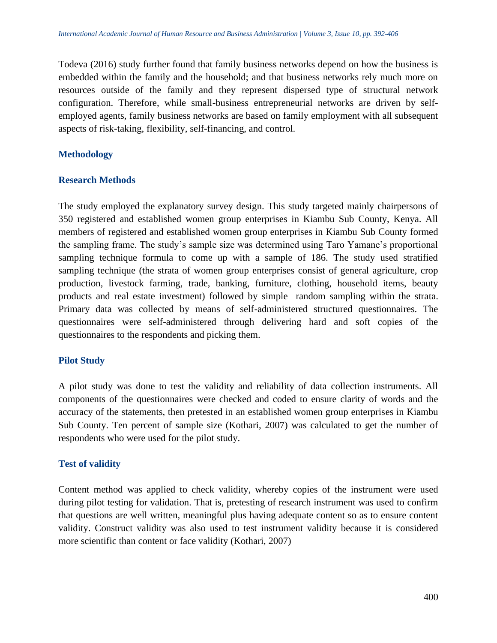Todeva (2016) study further found that family business networks depend on how the business is embedded within the family and the household; and that business networks rely much more on resources outside of the family and they represent dispersed type of structural network configuration. Therefore, while small-business entrepreneurial networks are driven by selfemployed agents, family business networks are based on family employment with all subsequent aspects of risk-taking, flexibility, self-financing, and control.

# **Methodology**

# **Research Methods**

The study employed the explanatory survey design. This study targeted mainly chairpersons of 350 registered and established women group enterprises in Kiambu Sub County, Kenya. All members of registered and established women group enterprises in Kiambu Sub County formed the sampling frame. The study's sample size was determined using Taro Yamane's proportional sampling technique formula to come up with a sample of 186. The study used stratified sampling technique (the strata of women group enterprises consist of general agriculture, crop production, livestock farming, trade, banking, furniture, clothing, household items, beauty products and real estate investment) followed by simple random sampling within the strata. Primary data was collected by means of self-administered structured questionnaires. The questionnaires were self-administered through delivering hard and soft copies of the questionnaires to the respondents and picking them.

# **Pilot Study**

A pilot study was done to test the validity and reliability of data collection instruments. All components of the questionnaires were checked and coded to ensure clarity of words and the accuracy of the statements, then pretested in an established women group enterprises in Kiambu Sub County. Ten percent of sample size (Kothari, 2007) was calculated to get the number of respondents who were used for the pilot study.

# **Test of validity**

Content method was applied to check validity, whereby copies of the instrument were used during pilot testing for validation. That is, pretesting of research instrument was used to confirm that questions are well written, meaningful plus having adequate content so as to ensure content validity. Construct validity was also used to test instrument validity because it is considered more scientific than content or face validity (Kothari, 2007)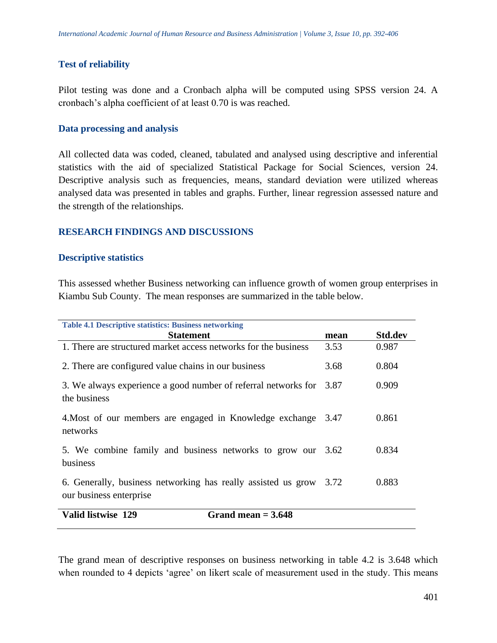#### **Test of reliability**

Pilot testing was done and a Cronbach alpha will be computed using SPSS version 24. A cronbach's alpha coefficient of at least 0.70 is was reached.

#### **Data processing and analysis**

All collected data was coded, cleaned, tabulated and analysed using descriptive and inferential statistics with the aid of specialized Statistical Package for Social Sciences, version 24. Descriptive analysis such as frequencies, means, standard deviation were utilized whereas analysed data was presented in tables and graphs. Further, linear regression assessed nature and the strength of the relationships.

### **RESEARCH FINDINGS AND DISCUSSIONS**

#### **Descriptive statistics**

This assessed whether Business networking can influence growth of women group enterprises in Kiambu Sub County. The mean responses are summarized in the table below.

| <b>Table 4.1 Descriptive statistics: Business networking</b>                                  |      |                |
|-----------------------------------------------------------------------------------------------|------|----------------|
| <b>Statement</b>                                                                              | mean | <b>Std.dev</b> |
| 1. There are structured market access networks for the business                               | 3.53 | 0.987          |
| 2. There are configured value chains in our business                                          | 3.68 | 0.804          |
| 3. We always experience a good number of referral networks for<br>the business                | 3.87 | 0.909          |
| 4. Most of our members are engaged in Knowledge exchange 3.47<br>networks                     |      | 0.861          |
| 5. We combine family and business networks to grow our 3.62<br>business                       |      | 0.834          |
| 6. Generally, business networking has really assisted us grow 3.72<br>our business enterprise |      | 0.883          |
| Valid listwise 129<br>Grand mean $=$ 3.648                                                    |      |                |

The grand mean of descriptive responses on business networking in table 4.2 is 3.648 which when rounded to 4 depicts 'agree' on likert scale of measurement used in the study. This means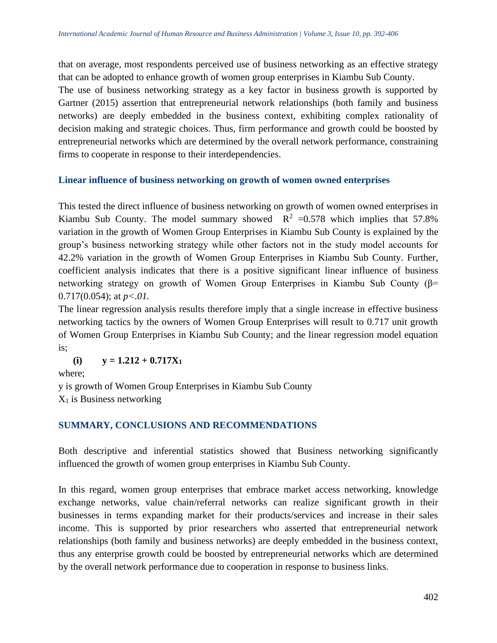that on average, most respondents perceived use of business networking as an effective strategy that can be adopted to enhance growth of women group enterprises in Kiambu Sub County.

The use of business networking strategy as a key factor in business growth is supported by Gartner (2015) assertion that entrepreneurial network relationships (both family and business networks) are deeply embedded in the business context, exhibiting complex rationality of decision making and strategic choices. Thus, firm performance and growth could be boosted by entrepreneurial networks which are determined by the overall network performance, constraining firms to cooperate in response to their interdependencies.

### **Linear influence of business networking on growth of women owned enterprises**

This tested the direct influence of business networking on growth of women owned enterprises in Kiambu Sub County. The model summary showed  $R^2 = 0.578$  which implies that 57.8% variation in the growth of Women Group Enterprises in Kiambu Sub County is explained by the group's business networking strategy while other factors not in the study model accounts for 42.2% variation in the growth of Women Group Enterprises in Kiambu Sub County. Further, coefficient analysis indicates that there is a positive significant linear influence of business networking strategy on growth of Women Group Enterprises in Kiambu Sub County (β= 0.717(0.054); at *p<.01.*

The linear regression analysis results therefore imply that a single increase in effective business networking tactics by the owners of Women Group Enterprises will result to 0.717 unit growth of Women Group Enterprises in Kiambu Sub County; and the linear regression model equation is;

 $\mathbf{y} = 1.212 + 0.717\mathbf{X}_1$ 

where;

y is growth of Women Group Enterprises in Kiambu Sub County

 $X_1$  is Business networking

# **SUMMARY, CONCLUSIONS AND RECOMMENDATIONS**

Both descriptive and inferential statistics showed that Business networking significantly influenced the growth of women group enterprises in Kiambu Sub County.

In this regard, women group enterprises that embrace market access networking, knowledge exchange networks, value chain/referral networks can realize significant growth in their businesses in terms expanding market for their products/services and increase in their sales income. This is supported by prior researchers who asserted that entrepreneurial network relationships (both family and business networks) are deeply embedded in the business context, thus any enterprise growth could be boosted by entrepreneurial networks which are determined by the overall network performance due to cooperation in response to business links.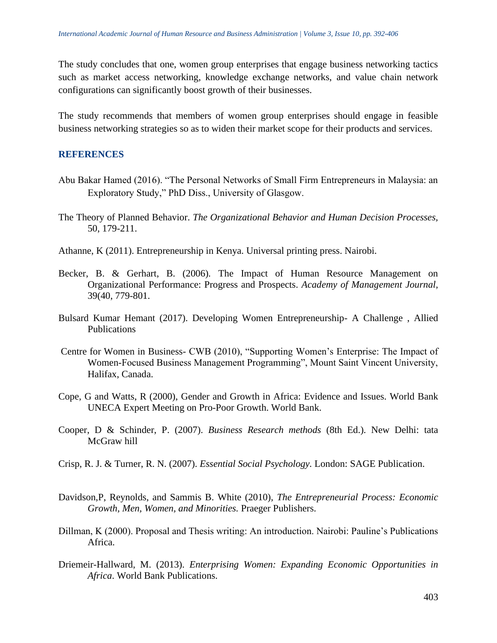The study concludes that one, women group enterprises that engage business networking tactics such as market access networking, knowledge exchange networks, and value chain network configurations can significantly boost growth of their businesses.

The study recommends that members of women group enterprises should engage in feasible business networking strategies so as to widen their market scope for their products and services.

# **REFERENCES**

- Abu Bakar Hamed (2016). "The Personal Networks of Small Firm Entrepreneurs in Malaysia: an Exploratory Study," PhD Diss., University of Glasgow.
- The Theory of Planned Behavior. *The Organizational Behavior and Human Decision Processes,*  50, 179-211.
- Athanne, K (2011). Entrepreneurship in Kenya. Universal printing press. Nairobi.
- Becker, B. & Gerhart, B. (2006)*.* The Impact of Human Resource Management on Organizational Performance: Progress and Prospects. *Academy of Management Journal,*  39(40, 779-801.
- Bulsard Kumar Hemant (2017). Developing Women Entrepreneurship- A Challenge , Allied Publications
- Centre for Women in Business- CWB (2010), "Supporting Women's Enterprise: The Impact of Women-Focused Business Management Programming", Mount Saint Vincent University, Halifax, Canada.
- Cope, G and Watts, R (2000), Gender and Growth in Africa: Evidence and Issues. World Bank UNECA Expert Meeting on Pro-Poor Growth. World Bank.
- Cooper, D & Schinder, P. (2007). *Business Research methods* (8th Ed.). New Delhi: tata McGraw hill
- Crisp, R. J. & Turner, R. N. (2007). *Essential Social Psychology.* London: SAGE Publication.
- Davidson,P, Reynolds, and Sammis B. White (2010), *The Entrepreneurial Process: Economic Growth, Men, Women, and Minorities.* Praeger Publishers.
- Dillman, K (2000). Proposal and Thesis writing: An introduction. Nairobi: Pauline's Publications Africa.
- Driemeir-Hallward, M. (2013). *Enterprising Women: Expanding Economic Opportunities in Africa*. World Bank Publications.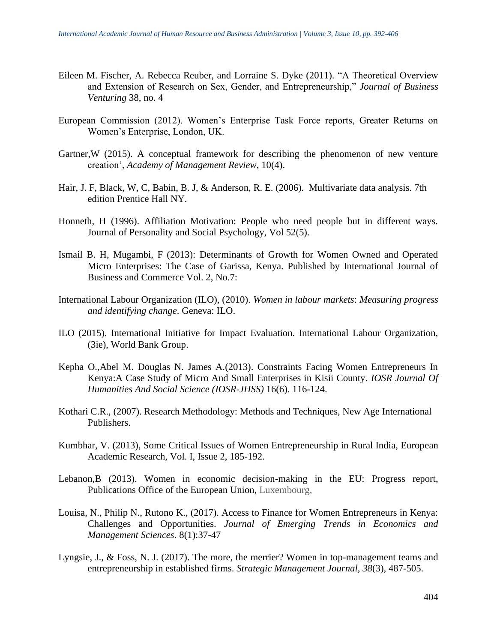- Eileen M. Fischer, A. Rebecca Reuber, and Lorraine S. Dyke (2011). "A Theoretical Overview and Extension of Research on Sex, Gender, and Entrepreneurship," *Journal of Business Venturing* 38, no. 4
- European Commission (2012). Women's Enterprise Task Force reports, Greater Returns on Women's Enterprise, London, UK.
- Gartner,W (2015). A conceptual framework for describing the phenomenon of new venture creation', *Academy of Management Review*, 10(4).
- Hair, J. F, Black, W, C, Babin, B. J, & Anderson, R. E. (2006). Multivariate data analysis. 7th edition Prentice Hall NY.
- Honneth, H (1996). Affiliation Motivation: People who need people but in different ways. Journal of Personality and Social Psychology, Vol 52(5).
- Ismail B. H, Mugambi, F (2013): Determinants of Growth for Women Owned and Operated Micro Enterprises: The Case of Garissa, Kenya. Published by International Journal of Business and Commerce Vol. 2, No.7:
- International Labour Organization (ILO), (2010). *Women in labour markets*: *Measuring progress and identifying change*. Geneva: ILO.
- ILO (2015). International Initiative for Impact Evaluation. International Labour Organization, (3ie), World Bank Group.
- Kepha O.,Abel M. Douglas N. James A.(2013). Constraints Facing Women Entrepreneurs In Kenya:A Case Study of Micro And Small Enterprises in Kisii County. *IOSR Journal Of Humanities And Social Science (IOSR-JHSS)* 16(6). 116-124.
- Kothari C.R., (2007). Research Methodology: Methods and Techniques, New Age International Publishers.
- Kumbhar, V. (2013), Some Critical Issues of Women Entrepreneurship in Rural India, European Academic Research, Vol. I, Issue 2, 185-192.
- Lebanon,B (2013). Women in economic decision-making in the EU: Progress report, Publications Office of the European Union, Luxembourg,
- Louisa, N., Philip N., Rutono K., (2017). Access to Finance for Women Entrepreneurs in Kenya: Challenges and Opportunities. *Journal of Emerging Trends in Economics and Management Sciences*. 8(1):37-47
- Lyngsie, J., & Foss, N. J. (2017). The more, the merrier? Women in top-management teams and entrepreneurship in established firms. *Strategic Management Journal*, *38*(3), 487-505.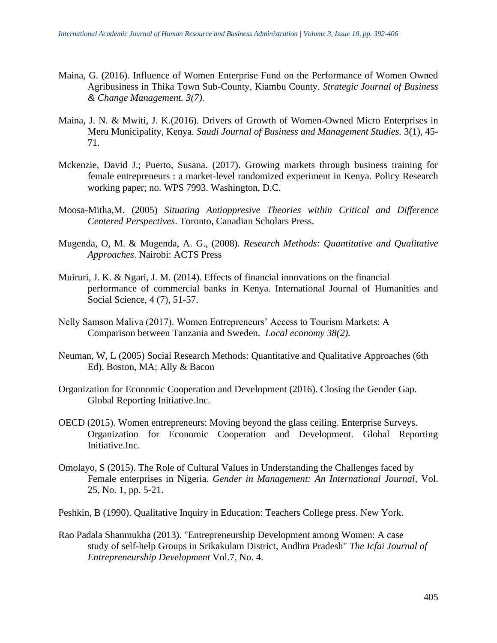- Maina, G. (2016). Influence of Women Enterprise Fund on the Performance of Women Owned Agribusiness in Thika Town Sub-County, Kiambu County. *Strategic Journal of Business & Change Management. 3(7).*
- Maina, J. N. & Mwiti, J. K.(2016). Drivers of Growth of Women-Owned Micro Enterprises in Meru Municipality, Kenya. *Saudi Journal of Business and Management Studies.* 3(1), 45- 71.
- Mckenzie, David J.; Puerto, Susana. (2017). Growing markets through business training for female entrepreneurs : a market-level randomized experiment in Kenya. Policy Research working paper; no. WPS 7993. Washington, D.C.
- Moosa-Mitha,M. (2005) *Situating Antioppresive Theories within Critical and Difference Centered Perspectives*. Toronto, Canadian Scholars Press.
- Mugenda, O, M. & Mugenda, A. G., (2008). *Research Methods: Quantitative and Qualitative Approaches*. Nairobi: ACTS Press
- Muiruri, J. K. & Ngari, J. M. (2014). Effects of financial innovations on the financial performance of commercial banks in Kenya. International Journal of Humanities and Social Science, 4 (7), 51-57.
- Nelly Samson Maliva (2017). Women Entrepreneurs' Access to Tourism Markets: A Comparison between Tanzania and Sweden. *Local economy 38(2).*
- Neuman, W, L (2005) Social Research Methods: Quantitative and Qualitative Approaches (6th Ed). Boston, MA; Ally & Bacon
- Organization for Economic Cooperation and Development (2016). Closing the Gender Gap. Global Reporting Initiative.Inc.
- OECD (2015). Women entrepreneurs: Moving beyond the glass ceiling. Enterprise Surveys. Organization for Economic Cooperation and Development. Global Reporting Initiative.Inc.
- Omolayo, S (2015). The Role of Cultural Values in Understanding the Challenges faced by Female enterprises in Nigeria. *Gender in Management: An International Journal*, Vol. 25, No. 1, pp. 5-21.
- Peshkin, B (1990). Qualitative Inquiry in Education: Teachers College press. New York.
- Rao Padala Shanmukha (2013). "Entrepreneurship Development among Women: A case study of self-help Groups in Srikakulam District, Andhra Pradesh" *The Icfai Journal of Entrepreneurship Development* Vol.7, No. 4.